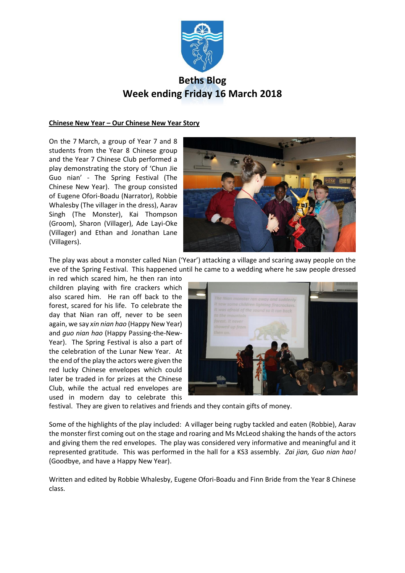

# **Beths Blog Week ending Friday 16 March 2018**

## **Chinese New Year – Our Chinese New Year Story**

On the 7 March, a group of Year 7 and 8 students from the Year 8 Chinese group and the Year 7 Chinese Club performed a play demonstrating the story of 'Chun Jie Guo nian' - The Spring Festival (The Chinese New Year). The group consisted of Eugene Ofori-Boadu (Narrator), Robbie Whalesby (The villager in the dress), Aarav Singh (The Monster), Kai Thompson (Groom), Sharon (Villager), Ade Layi-Oke (Villager) and Ethan and Jonathan Lane (Villagers).



The play was about a monster called Nian ('Year') attacking a village and scaring away people on the eve of the Spring Festival. This happened until he came to a wedding where he saw people dressed

in red which scared him, he then ran into children playing with fire crackers which also scared him. He ran off back to the forest, scared for his life. To celebrate the day that Nian ran off, never to be seen again, we say *xin nian hao* (Happy New Year) and *guo nian hao* (Happy Passing-the-New-Year). The Spring Festival is also a part of the celebration of the Lunar New Year. At the end of the play the actors were given the red lucky Chinese envelopes which could later be traded in for prizes at the Chinese Club, while the actual red envelopes are used in modern day to celebrate this



festival. They are given to relatives and friends and they contain gifts of money.

Some of the highlights of the play included: A villager being rugby tackled and eaten (Robbie), Aarav the monster first coming out on the stage and roaring and Ms McLeod shaking the hands of the actors and giving them the red envelopes. The play was considered very informative and meaningful and it represented gratitude. This was performed in the hall for a KS3 assembly. *Zai jian, Guo nian hao!* (Goodbye, and have a Happy New Year).

Written and edited by Robbie Whalesby, Eugene Ofori-Boadu and Finn Bride from the Year 8 Chinese class.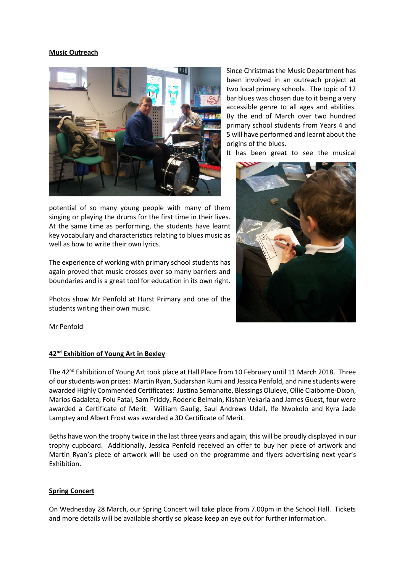## **Music Outreach**



potential of so many young people with many of them singing or playing the drums for the first time in their lives. At the same time as performing, the students have learnt key vocabulary and characteristics relating to blues music as well as how to write their own lyrics.

The experience of working with primary school students has again proved that music crosses over so many barriers and boundaries and is a great tool for education in its own right.

Photos show Mr Penfold at Hurst Primary and one of the students writing their own music.

Since Christmas the Music Department has been involved in an outreach project at two local primary schools. The topic of 12 bar blues was chosen due to it being a very accessible genre to all ages and abilities. By the end of March over two hundred primary school students from Years 4 and 5 will have performed and learnt about the origins of the blues.

It has been great to see the musical



Mr Penfold

#### **42nd Exhibition of Young Art in Bexley**

The 42nd Exhibition of Young Art took place at Hall Place from 10 February until 11 March 2018. Three of our students won prizes: Martin Ryan, Sudarshan Rumi and Jessica Penfold, and nine students were awarded Highly Commended Certificates: Justina Semanaite, Blessings Oluleye, Ollie Claiborne-Dixon, Marios Gadaleta, Folu Fatal, Sam Priddy, Roderic Belmain, Kishan Vekaria and James Guest, four were awarded a Certificate of Merit: William Gaulig, Saul Andrews Udall, Ife Nwokolo and Kyra Jade Lamptey and Albert Frost was awarded a 3D Certificate of Merit.

Beths have won the trophy twice in the last three years and again, this will be proudly displayed in our trophy cupboard. Additionally, Jessica Penfold received an offer to buy her piece of artwork and Martin Ryan's piece of artwork will be used on the programme and flyers advertising next year's Exhibition.

#### **Spring Concert**

On Wednesday 28 March, our Spring Concert will take place from 7.00pm in the School Hall. Tickets and more details will be available shortly so please keep an eye out for further information.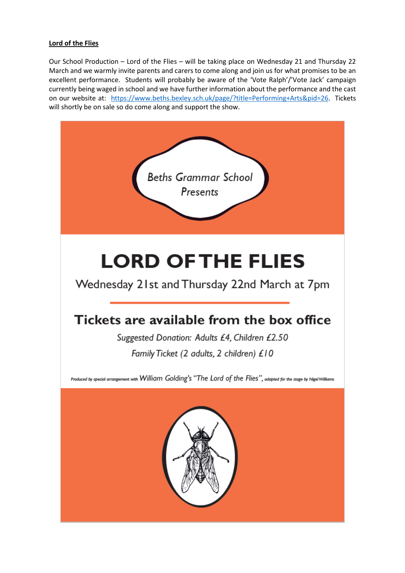# **Lord of the Flies**

Our School Production – Lord of the Flies – will be taking place on Wednesday 21 and Thursday 22 March and we warmly invite parents and carers to come along and join us for what promises to be an excellent performance. Students will probably be aware of the 'Vote Ralph'/'Vote Jack' campaign currently being waged in school and we have further information about the performance and the cast on our website at: [https://www.beths.bexley.sch.uk/page/?title=Performing+Arts&pid=26.](https://www.beths.bexley.sch.uk/page/?title=Performing+Arts&pid=26) Tickets will shortly be on sale so do come along and support the show.